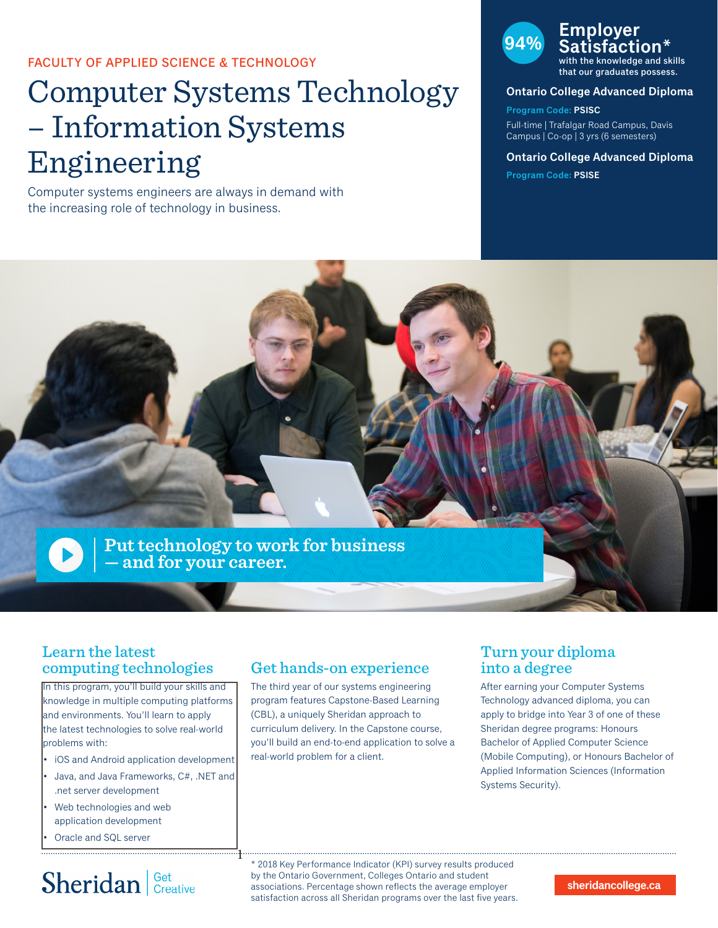FACULTY OF APPLIED SCIENCE & TECHNOLOGY

# Computer Systems Technology – Information Systems Engineering

Computer systems engineers are always in demand with the increasing role of technology in business.



that our graduates possess.

#### **Ontario College Advanced Diploma**

**Program Code: PSISC** Full-time | Trafalgar Road Campus, Davis Campus | Co-op | 3 yrs (6 semesters)

**Ontario College Advanced Diploma Program Code: PSISE**



### Learn the latest computing technologies

In this program, you'll build your skills and knowledge in multiple computing platforms and environments. You'll learn to apply the latest technologies to solve real-world problems with:

- iOS and Android application development
- Java, and Java Frameworks, C#, .NET and .net server development

1

- Web technologies and web application development
- Oracle and SQL server

# Sheridan | Get Creative

### Get hands-on experience

The third year of our systems engineering program features Capstone-Based Learning (CBL), a uniquely Sheridan approach to curriculum delivery. In the Capstone course, you'll build an end-to-end application to solve a real-world problem for a client.

### Turn your diploma into a degree

After earning your Computer Systems Technology advanced diploma, you can apply to bridge into Year 3 of one of these Sheridan degree programs: Honours Bachelor of Applied Computer Science (Mobile Computing), or Honours Bachelor of Applied Information Sciences (Information Systems Security).

\* 2018 Key Performance Indicator (KPI) survey results produced by the Ontario Government, Colleges Ontario and student associations. Percentage shown reflects the average employer satisfaction across all Sheridan programs over the last five years.